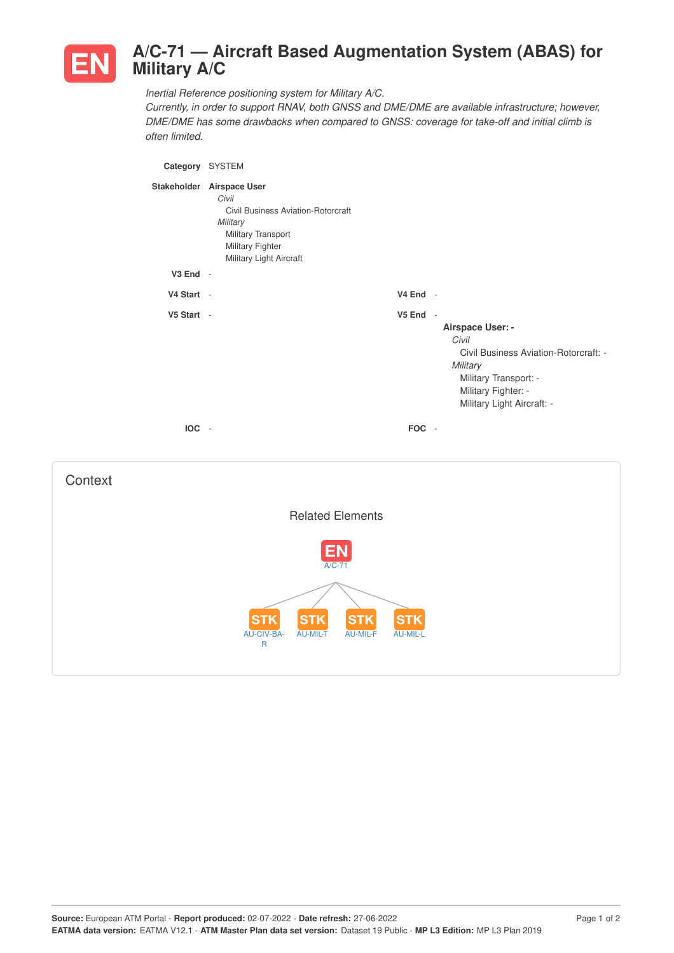

## **A/C-71 — Aircraft Based Augmentation System (ABAS) for Military A/C**

*Inertial Reference positioning system for Military A/C.*

*Currently, in order to support RNAV, both GNSS and DME/DME are available infrastructure; however, DME/DME has some drawbacks when compared to GNSS: coverage for take-off and initial climb is often limited.*

| Category SYSTEM |                                                                                                                                                                  |                |                                                                                                                                                              |
|-----------------|------------------------------------------------------------------------------------------------------------------------------------------------------------------|----------------|--------------------------------------------------------------------------------------------------------------------------------------------------------------|
|                 | Stakeholder Airspace User<br>Civil<br><b>Civil Business Aviation-Rotorcraft</b><br>Military<br>Military Transport<br>Military Fighter<br>Military Light Aircraft |                |                                                                                                                                                              |
| V3 End -        |                                                                                                                                                                  |                |                                                                                                                                                              |
| V4 Start -      |                                                                                                                                                                  | V4 End -       |                                                                                                                                                              |
| V5 Start -      |                                                                                                                                                                  | V5 End -       | Airspace User: -<br>Civil<br>Civil Business Aviation-Rotorcraft: -<br>Military<br>Military Transport: -<br>Military Fighter: -<br>Military Light Aircraft: - |
| IOC -           |                                                                                                                                                                  | FOC -          |                                                                                                                                                              |
| Context         |                                                                                                                                                                  |                |                                                                                                                                                              |
|                 | <b>Related Elements</b>                                                                                                                                          |                |                                                                                                                                                              |
|                 | A/C-71<br><b>STK</b><br><b>STK</b><br>SТ<br>AU-CIV-BA-<br><b>AU-MIL-T</b><br>AU-MIL-F<br>$\mathsf{R}$                                                            | SТ<br>AU-MIL-L |                                                                                                                                                              |